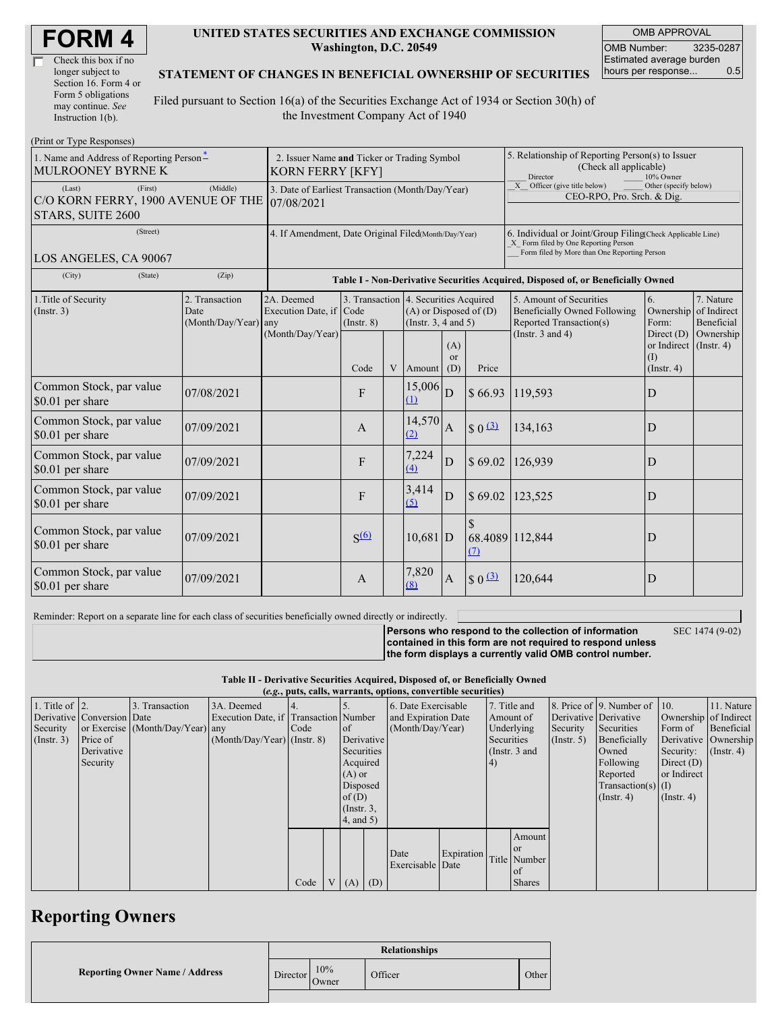| <b>FORM4</b> |  |
|--------------|--|
|--------------|--|

| Check this box if no  |
|-----------------------|
| longer subject to     |
| Section 16. Form 4 or |
| Form 5 obligations    |
| may continue. See     |
| Instruction 1(b).     |

#### **UNITED STATES SECURITIES AND EXCHANGE COMMISSION Washington, D.C. 20549**

OMB APPROVAL OMB Number: 3235-0287 Estimated average burden hours per response... 0.5

### **STATEMENT OF CHANGES IN BENEFICIAL OWNERSHIP OF SECURITIES**

Filed pursuant to Section 16(a) of the Securities Exchange Act of 1934 or Section 30(h) of the Investment Company Act of 1940

| (Print or Type Responses)                                                             |                                                                        |                                       |                                                     |  |                                                                                                 |                         |                                                                                                                                                    |                                                                                           |                                                                   |                                        |  |
|---------------------------------------------------------------------------------------|------------------------------------------------------------------------|---------------------------------------|-----------------------------------------------------|--|-------------------------------------------------------------------------------------------------|-------------------------|----------------------------------------------------------------------------------------------------------------------------------------------------|-------------------------------------------------------------------------------------------|-------------------------------------------------------------------|----------------------------------------|--|
| 1. Name and Address of Reporting Person-<br>MULROONEY BYRNE K                         | 2. Issuer Name and Ticker or Trading Symbol<br><b>KORN FERRY [KFY]</b> |                                       |                                                     |  |                                                                                                 |                         | 5. Relationship of Reporting Person(s) to Issuer<br>(Check all applicable)<br>Director<br>10% Owner                                                |                                                                                           |                                                                   |                                        |  |
| (Last)<br>(First)<br>C/O KORN FERRY, 1900 AVENUE OF THE<br>STARS, SUITE 2600          | 3. Date of Earliest Transaction (Month/Day/Year)<br>07/08/2021         |                                       |                                                     |  |                                                                                                 |                         | Other (specify below)<br>X Officer (give title below)<br>CEO-RPO, Pro. Srch. & Dig.                                                                |                                                                                           |                                                                   |                                        |  |
| (Street)<br>LOS ANGELES, CA 90067                                                     | 4. If Amendment, Date Original Filed(Month/Day/Year)                   |                                       |                                                     |  |                                                                                                 |                         | 6. Individual or Joint/Group Filing(Check Applicable Line)<br>X Form filed by One Reporting Person<br>Form filed by More than One Reporting Person |                                                                                           |                                                                   |                                        |  |
| (City)<br>(State)                                                                     | (Zip)                                                                  |                                       |                                                     |  |                                                                                                 |                         |                                                                                                                                                    | Table I - Non-Derivative Securities Acquired, Disposed of, or Beneficially Owned          |                                                                   |                                        |  |
| 2. Transaction<br>1. Title of Security<br>(Insert. 3)<br>Date<br>(Month/Day/Year) any |                                                                        | 2A. Deemed<br>Execution Date, if Code | $($ Instr. $8)$                                     |  | 3. Transaction 4. Securities Acquired<br>$(A)$ or Disposed of $(D)$<br>(Instr. $3, 4$ and $5$ ) |                         |                                                                                                                                                    | 5. Amount of Securities<br><b>Beneficially Owned Following</b><br>Reported Transaction(s) | 6.<br>Ownership<br>Form:                                          | 7. Nature<br>of Indirect<br>Beneficial |  |
|                                                                                       |                                                                        | (Month/Day/Year)                      | Code                                                |  | V Amount                                                                                        | (A)<br><b>or</b><br>(D) | Price                                                                                                                                              | (Instr. $3$ and $4$ )                                                                     | Direct $(D)$<br>or Indirect (Instr. 4)<br>(1)<br>$($ Instr. 4 $)$ | Ownership                              |  |
| Common Stock, par value<br>\$0.01 per share                                           | 07/08/2021                                                             |                                       | F                                                   |  | $15,006$ D<br>(1)                                                                               |                         | \$66.93                                                                                                                                            | 119,593                                                                                   | D                                                                 |                                        |  |
| Common Stock, par value<br>\$0.01 per share                                           | 07/09/2021                                                             |                                       | $\mathbf{A}$                                        |  | 14,570<br>(2)                                                                                   | $\mathbf{A}$            | $\boxed{ }$ $\boxed{0}$ $\boxed{3}$                                                                                                                | 134,163                                                                                   | D                                                                 |                                        |  |
| Common Stock, par value<br>\$0.01 per share                                           | 07/09/2021                                                             |                                       | F                                                   |  | 7,224<br>$\Delta$                                                                               | D                       | \$69.02                                                                                                                                            | 126,939                                                                                   | D                                                                 |                                        |  |
| Common Stock, par value<br>\$0.01 per share                                           | 07/09/2021                                                             |                                       | F                                                   |  | 3,414<br>(5)                                                                                    | D                       | \$69.02                                                                                                                                            | 123,525                                                                                   | D                                                                 |                                        |  |
| Common Stock, par value<br>\$0.01 per share                                           | 07/09/2021                                                             |                                       | S <sub>6</sub>                                      |  | $10,681$ D                                                                                      |                         | $\mathcal{S}$<br>68.4089 112,844<br>(7)                                                                                                            |                                                                                           | D                                                                 |                                        |  |
| Common Stock, par value<br>\$0.01 per share                                           | 07/09/2021                                                             |                                       | 7,820<br>$\frac{30}{4}$<br>$\mathbf{A}$<br>A<br>(8) |  |                                                                                                 | 120,644                 | D                                                                                                                                                  |                                                                                           |                                                                   |                                        |  |

Reminder: Report on a separate line for each class of securities beneficially owned directly or indirectly.

**Persons who respond to the collection of information contained in this form are not required to respond unless the form displays a currently valid OMB control number.** SEC 1474 (9-02)

#### **Table II - Derivative Securities Acquired, Disposed of, or Beneficially Owned**

| (e.g., puts, calls, warrants, options, convertible securities) |                            |                                  |                                       |      |  |                 |  |                     |                     |                 |               |                  |                              |                       |                      |
|----------------------------------------------------------------|----------------------------|----------------------------------|---------------------------------------|------|--|-----------------|--|---------------------|---------------------|-----------------|---------------|------------------|------------------------------|-----------------------|----------------------|
| 1. Title of $\vert$ 2.                                         |                            | 3. Transaction                   | 3A. Deemed                            |      |  |                 |  |                     | 6. Date Exercisable |                 | 7. Title and  |                  | 8. Price of 9. Number of 10. |                       | 11. Nature           |
|                                                                | Derivative Conversion Date |                                  | Execution Date, if Transaction Number |      |  |                 |  | and Expiration Date |                     | Amount of       |               |                  | Derivative Derivative        | Ownership of Indirect |                      |
| Security                                                       |                            | or Exercise (Month/Day/Year) any |                                       | Code |  | of              |  | (Month/Day/Year)    |                     | Underlying      |               | Security         | Securities                   | Form of               | Beneficial           |
| $($ Instr. 3 $)$                                               | Price of                   |                                  | $(Month/Day/Year)$ (Instr. 8)         |      |  | Derivative      |  |                     |                     | Securities      |               | $($ Instr. 5 $)$ | Beneficially                 |                       | Derivative Ownership |
|                                                                | Derivative                 |                                  |                                       |      |  | Securities      |  |                     |                     | (Instr. $3$ and |               |                  | Owned                        | Security:             | $($ Instr. 4 $)$     |
|                                                                | Security                   |                                  |                                       |      |  | Acquired        |  |                     |                     | (4)             |               |                  | Following                    | Direct $(D)$          |                      |
|                                                                |                            |                                  |                                       |      |  | $(A)$ or        |  |                     |                     |                 |               |                  | Reported                     | or Indirect           |                      |
|                                                                |                            |                                  |                                       |      |  | Disposed        |  |                     |                     |                 |               |                  | Transaction(s) $(I)$         |                       |                      |
|                                                                |                            |                                  |                                       |      |  | of $(D)$        |  |                     |                     |                 |               |                  | $($ Instr. 4 $)$             | $($ Instr. 4 $)$      |                      |
|                                                                |                            |                                  |                                       |      |  | $($ Instr. $3,$ |  |                     |                     |                 |               |                  |                              |                       |                      |
|                                                                |                            |                                  |                                       |      |  | 4, and 5)       |  |                     |                     |                 |               |                  |                              |                       |                      |
|                                                                |                            |                                  |                                       |      |  |                 |  |                     |                     |                 | Amount        |                  |                              |                       |                      |
|                                                                |                            |                                  |                                       |      |  |                 |  |                     |                     |                 | <b>or</b>     |                  |                              |                       |                      |
|                                                                |                            |                                  |                                       |      |  |                 |  | Date                | Expiration          |                 | Title Number  |                  |                              |                       |                      |
|                                                                |                            |                                  |                                       |      |  |                 |  | Exercisable Date    |                     |                 | of            |                  |                              |                       |                      |
|                                                                |                            |                                  |                                       | Code |  | $V(A)$ (D)      |  |                     |                     |                 | <b>Shares</b> |                  |                              |                       |                      |

## **Reporting Owners**

|                                       | <b>Relationships</b> |              |         |       |  |  |
|---------------------------------------|----------------------|--------------|---------|-------|--|--|
| <b>Reporting Owner Name / Address</b> | Director             | 10%<br>Owner | Officer | Other |  |  |